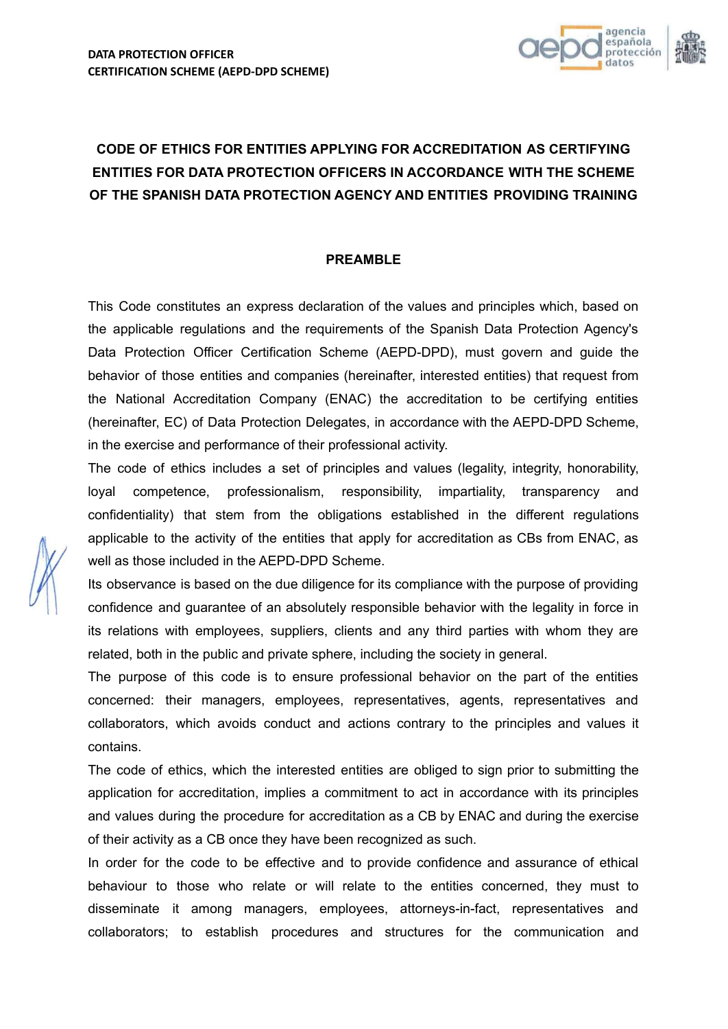

# **CODE OF ETHICS FOR ENTITIES APPLYING FOR ACCREDITATION AS CERTIFYING ENTITIES FOR DATA PROTECTION OFFICERS IN ACCORDANCE WITH THE SCHEME OF THE SPANISH DATA PROTECTION AGENCY AND ENTITIES PROVIDING TRAINING**

## **PREAMBLE**

This Code constitutes an express declaration of the values and principles which, based on the applicable regulations and the requirements of the Spanish Data Protection Agency's Data Protection Officer Certification Scheme (AEPD-DPD), must govern and guide the behavior of those entities and companies (hereinafter, interested entities) that request from the National Accreditation Company (ENAC) the accreditation to be certifying entities (hereinafter, EC) of Data Protection Delegates, in accordance with the AEPD-DPD Scheme, in the exercise and performance of their professional activity.

The code of ethics includes a set of principles and values (legality, integrity, honorability, loyal competence, professionalism, responsibility, impartiality, transparency and confidentiality) that stem from the obligations established in the different regulations applicable to the activity of the entities that apply for accreditation as CBs from ENAC, as well as those included in the AEPD-DPD Scheme.

Its observance is based on the due diligence for its compliance with the purpose of providing confidence and guarantee of an absolutely responsible behavior with the legality in force in its relations with employees, suppliers, clients and any third parties with whom they are related, both in the public and private sphere, including the society in general.

The purpose of this code is to ensure professional behavior on the part of the entities concerned: their managers, employees, representatives, agents, representatives and collaborators, which avoids conduct and actions contrary to the principles and values it contains.

The code of ethics, which the interested entities are obliged to sign prior to submitting the application for accreditation, implies a commitment to act in accordance with its principles and values during the procedure for accreditation as a CB by ENAC and during the exercise of their activity as a CB once they have been recognized as such.

In order for the code to be effective and to provide confidence and assurance of ethical behaviour to those who relate or will relate to the entities concerned, they must to disseminate it among managers, employees, attorneys-in-fact, representatives and collaborators; to establish procedures and structures for the communication and

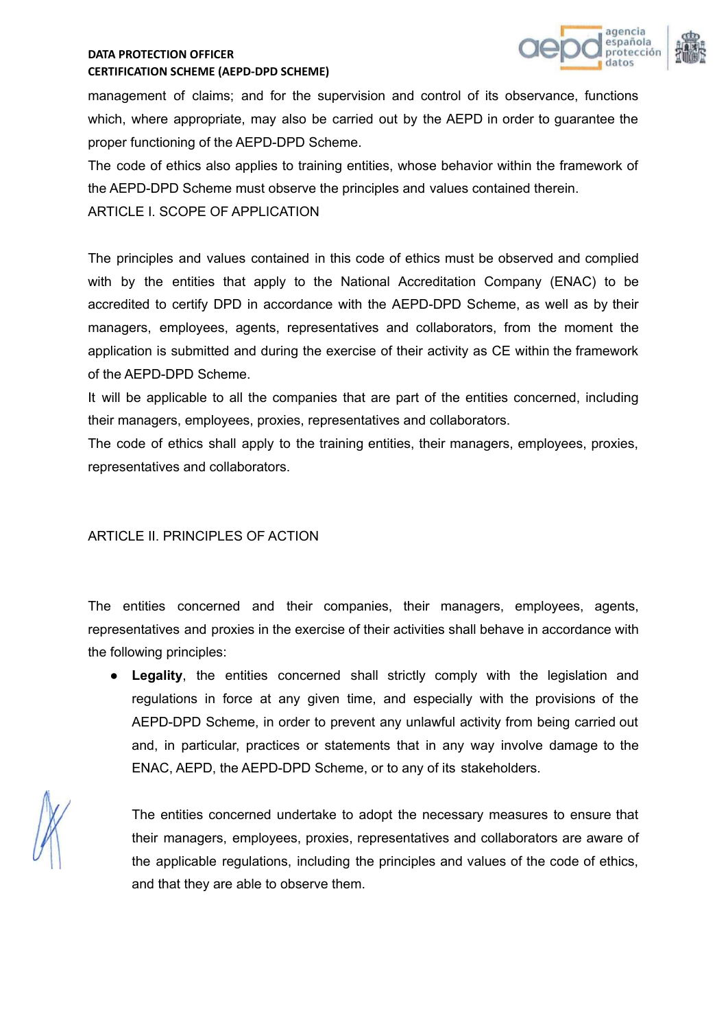

management of claims; and for the supervision and control of its observance, functions which, where appropriate, may also be carried out by the AEPD in order to guarantee the proper functioning of the AEPD-DPD Scheme.

The code of ethics also applies to training entities, whose behavior within the framework of the AEPD-DPD Scheme must observe the principles and values contained therein.

ARTICLE I. SCOPE OF APPLICATION

The principles and values contained in this code of ethics must be observed and complied with by the entities that apply to the National Accreditation Company (ENAC) to be accredited to certify DPD in accordance with the AEPD-DPD Scheme, as well as by their managers, employees, agents, representatives and collaborators, from the moment the application is submitted and during the exercise of their activity as CE within the framework of the AEPD-DPD Scheme.

It will be applicable to all the companies that are part of the entities concerned, including their managers, employees, proxies, representatives and collaborators.

The code of ethics shall apply to the training entities, their managers, employees, proxies, representatives and collaborators.

# ARTICLE II. PRINCIPLES OF ACTION

The entities concerned and their companies, their managers, employees, agents, representatives and proxies in the exercise of their activities shall behave in accordance with the following principles:

● **Legality**, the entities concerned shall strictly comply with the legislation and regulations in force at any given time, and especially with the provisions of the AEPD-DPD Scheme, in order to prevent any unlawful activity from being carried out and, in particular, practices or statements that in any way involve damage to the ENAC, AEPD, the AEPD-DPD Scheme, or to any of its stakeholders.

The entities concerned undertake to adopt the necessary measures to ensure that their managers, employees, proxies, representatives and collaborators are aware of the applicable regulations, including the principles and values of the code of ethics, and that they are able to observe them.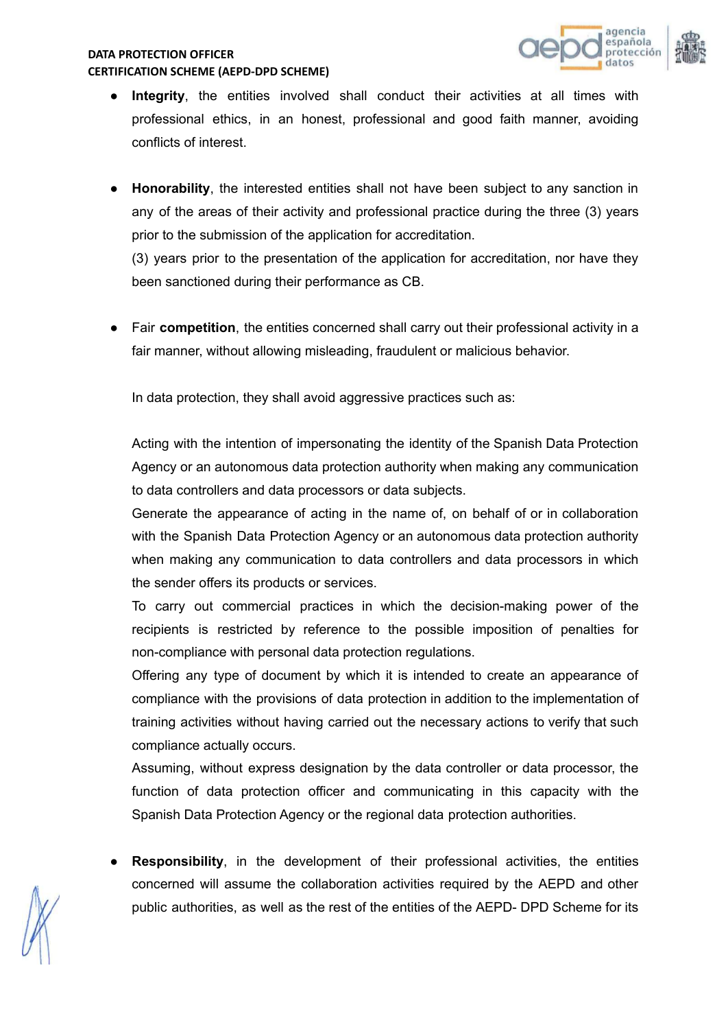

- **Integrity**, the entities involved shall conduct their activities at all times with professional ethics, in an honest, professional and good faith manner, avoiding conflicts of interest.
- **Honorability**, the interested entities shall not have been subject to any sanction in any of the areas of their activity and professional practice during the three (3) years prior to the submission of the application for accreditation.

(3) years prior to the presentation of the application for accreditation, nor have they been sanctioned during their performance as CB.

Fair **competition**, the entities concerned shall carry out their professional activity in a fair manner, without allowing misleading, fraudulent or malicious behavior.

In data protection, they shall avoid aggressive practices such as:

Acting with the intention of impersonating the identity of the Spanish Data Protection Agency or an autonomous data protection authority when making any communication to data controllers and data processors or data subjects.

Generate the appearance of acting in the name of, on behalf of or in collaboration with the Spanish Data Protection Agency or an autonomous data protection authority when making any communication to data controllers and data processors in which the sender offers its products or services.

To carry out commercial practices in which the decision-making power of the recipients is restricted by reference to the possible imposition of penalties for non-compliance with personal data protection regulations.

Offering any type of document by which it is intended to create an appearance of compliance with the provisions of data protection in addition to the implementation of training activities without having carried out the necessary actions to verify that such compliance actually occurs.

Assuming, without express designation by the data controller or data processor, the function of data protection officer and communicating in this capacity with the Spanish Data Protection Agency or the regional data protection authorities.

**Responsibility**, in the development of their professional activities, the entities concerned will assume the collaboration activities required by the AEPD and other public authorities, as well as the rest of the entities of the AEPD- DPD Scheme for its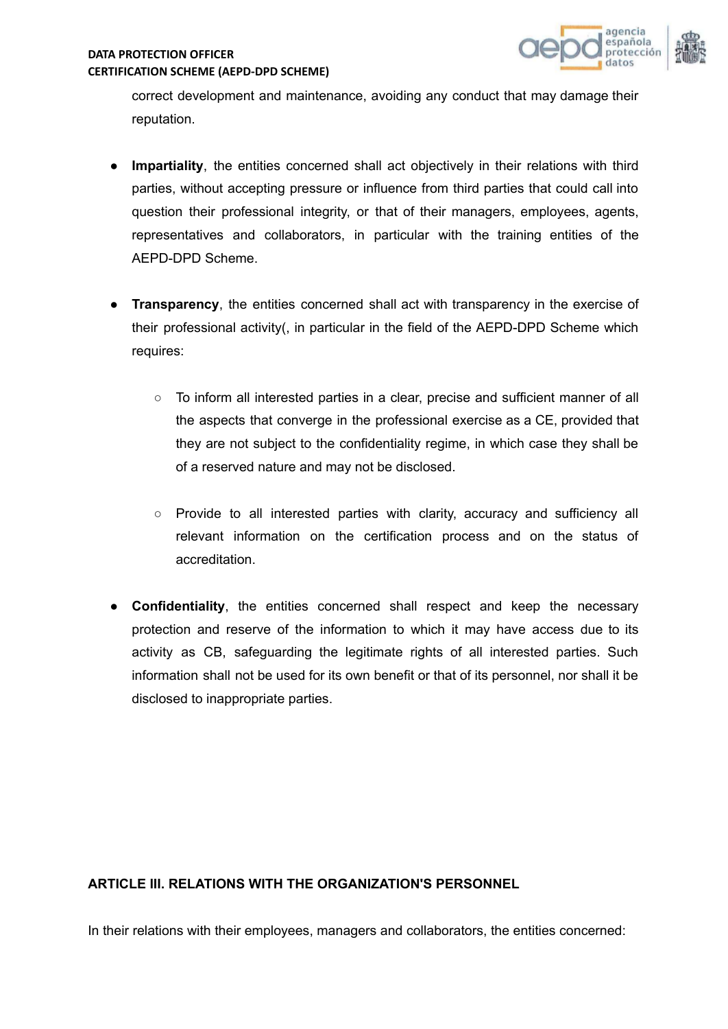

correct development and maintenance, avoiding any conduct that may damage their reputation.

- **Impartiality**, the entities concerned shall act objectively in their relations with third parties, without accepting pressure or influence from third parties that could call into question their professional integrity, or that of their managers, employees, agents, representatives and collaborators, in particular with the training entities of the AEPD-DPD Scheme.
- **Transparency**, the entities concerned shall act with transparency in the exercise of their professional activity(, in particular in the field of the AEPD-DPD Scheme which requires:
	- To inform all interested parties in a clear, precise and sufficient manner of all the aspects that converge in the professional exercise as a CE, provided that they are not subject to the confidentiality regime, in which case they shall be of a reserved nature and may not be disclosed.
	- Provide to all interested parties with clarity, accuracy and sufficiency all relevant information on the certification process and on the status of accreditation.
- **Confidentiality**, the entities concerned shall respect and keep the necessary protection and reserve of the information to which it may have access due to its activity as CB, safeguarding the legitimate rights of all interested parties. Such information shall not be used for its own benefit or that of its personnel, nor shall it be disclosed to inappropriate parties.

# **ARTICLE III. RELATIONS WITH THE ORGANIZATION'S PERSONNEL**

In their relations with their employees, managers and collaborators, the entities concerned: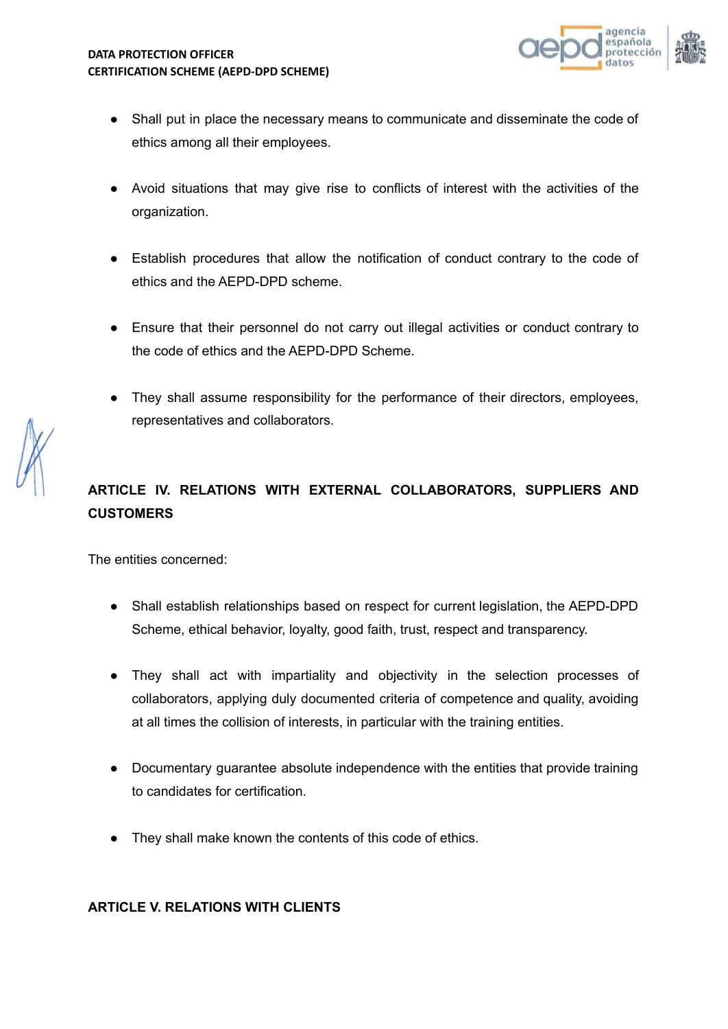

- Shall put in place the necessary means to communicate and disseminate the code of ethics among all their employees.
- Avoid situations that may give rise to conflicts of interest with the activities of the organization.
- Establish procedures that allow the notification of conduct contrary to the code of ethics and the AEPD-DPD scheme.
- Ensure that their personnel do not carry out illegal activities or conduct contrary to the code of ethics and the AEPD-DPD Scheme.
- They shall assume responsibility for the performance of their directors, employees, representatives and collaborators.

# **ARTICLE IV. RELATIONS WITH EXTERNAL COLLABORATORS, SUPPLIERS AND CUSTOMERS**

The entities concerned:

- Shall establish relationships based on respect for current legislation, the AEPD-DPD Scheme, ethical behavior, loyalty, good faith, trust, respect and transparency.
- They shall act with impartiality and objectivity in the selection processes of collaborators, applying duly documented criteria of competence and quality, avoiding at all times the collision of interests, in particular with the training entities.
- Documentary guarantee absolute independence with the entities that provide training to candidates for certification.
- They shall make known the contents of this code of ethics.

# **ARTICLE V. RELATIONS WITH CLIENTS**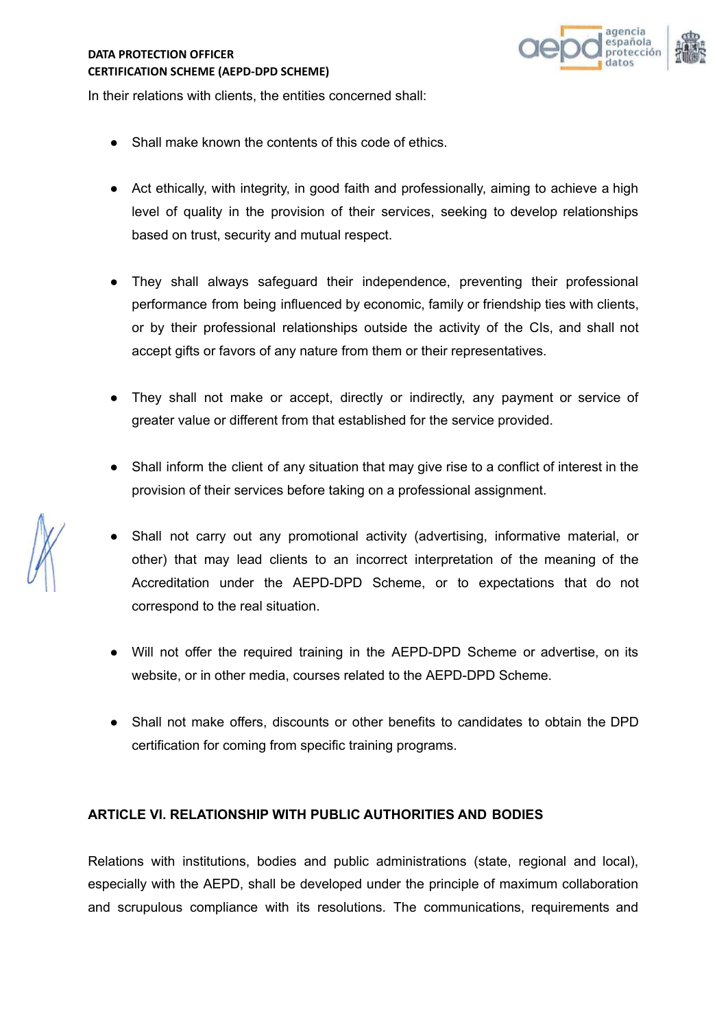

In their relations with clients, the entities concerned shall:

- Shall make known the contents of this code of ethics.
- Act ethically, with integrity, in good faith and professionally, aiming to achieve a high level of quality in the provision of their services, seeking to develop relationships based on trust, security and mutual respect.
- They shall always safeguard their independence, preventing their professional performance from being influenced by economic, family or friendship ties with clients, or by their professional relationships outside the activity of the CIs, and shall not accept gifts or favors of any nature from them or their representatives.
- They shall not make or accept, directly or indirectly, any payment or service of greater value or different from that established for the service provided.
- Shall inform the client of any situation that may give rise to a conflict of interest in the provision of their services before taking on a professional assignment.
- Shall not carry out any promotional activity (advertising, informative material, or other) that may lead clients to an incorrect interpretation of the meaning of the Accreditation under the AEPD-DPD Scheme, or to expectations that do not correspond to the real situation.
- Will not offer the required training in the AEPD-DPD Scheme or advertise, on its website, or in other media, courses related to the AEPD-DPD Scheme.
- Shall not make offers, discounts or other benefits to candidates to obtain the DPD certification for coming from specific training programs.

### **ARTICLE VI. RELATIONSHIP WITH PUBLIC AUTHORITIES AND BODIES**

Relations with institutions, bodies and public administrations (state, regional and local), especially with the AEPD, shall be developed under the principle of maximum collaboration and scrupulous compliance with its resolutions. The communications, requirements and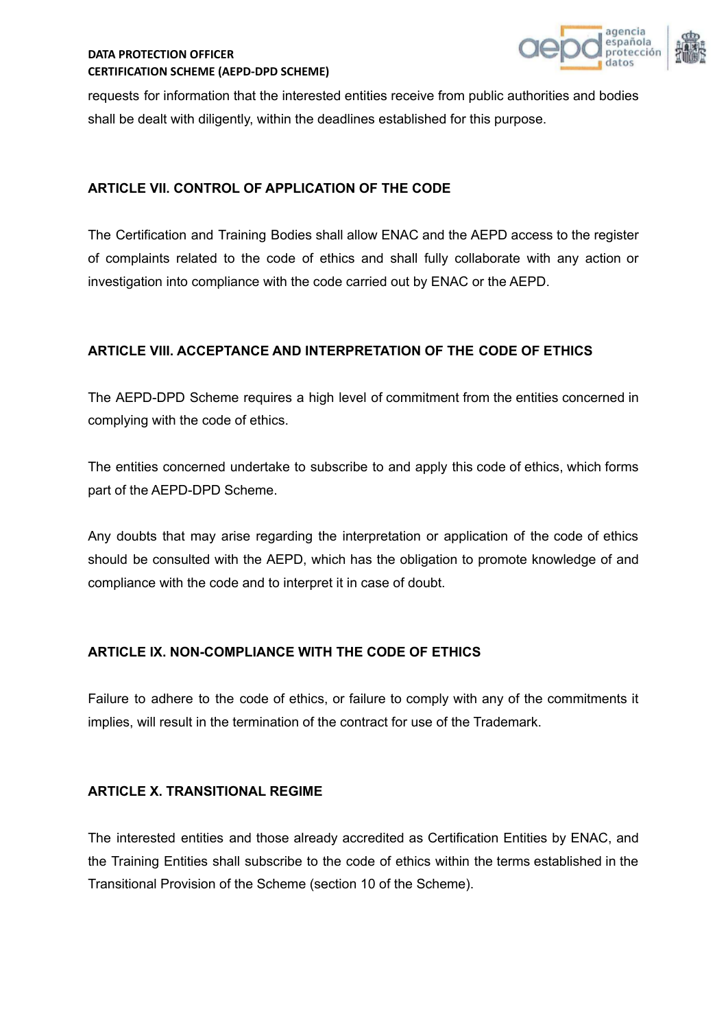

requests for information that the interested entities receive from public authorities and bodies shall be dealt with diligently, within the deadlines established for this purpose.

## **ARTICLE VII. CONTROL OF APPLICATION OF THE CODE**

The Certification and Training Bodies shall allow ENAC and the AEPD access to the register of complaints related to the code of ethics and shall fully collaborate with any action or investigation into compliance with the code carried out by ENAC or the AEPD.

## **ARTICLE VIII. ACCEPTANCE AND INTERPRETATION OF THE CODE OF ETHICS**

The AEPD-DPD Scheme requires a high level of commitment from the entities concerned in complying with the code of ethics.

The entities concerned undertake to subscribe to and apply this code of ethics, which forms part of the AEPD-DPD Scheme.

Any doubts that may arise regarding the interpretation or application of the code of ethics should be consulted with the AEPD, which has the obligation to promote knowledge of and compliance with the code and to interpret it in case of doubt.

# **ARTICLE IX. NON-COMPLIANCE WITH THE CODE OF ETHICS**

Failure to adhere to the code of ethics, or failure to comply with any of the commitments it implies, will result in the termination of the contract for use of the Trademark.

### **ARTICLE X. TRANSITIONAL REGIME**

The interested entities and those already accredited as Certification Entities by ENAC, and the Training Entities shall subscribe to the code of ethics within the terms established in the Transitional Provision of the Scheme (section 10 of the Scheme).